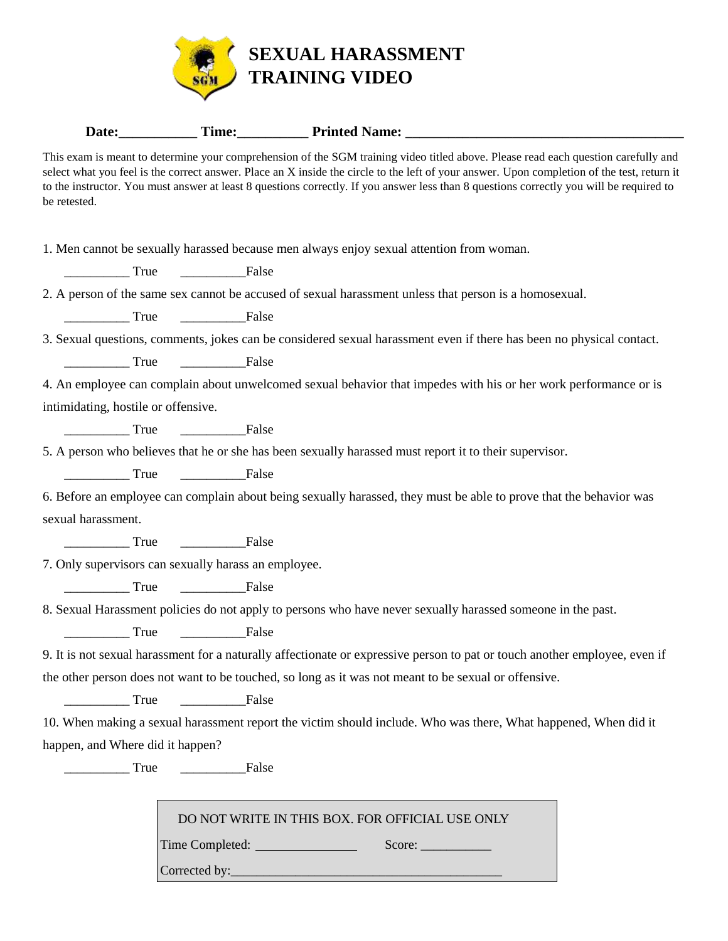

Date:\_\_\_\_\_\_\_\_\_\_\_\_\_ Time:\_\_\_\_\_\_\_\_\_\_\_ Printed Name: \_\_\_\_\_\_\_\_\_\_\_\_\_\_\_\_\_\_\_\_\_\_\_\_\_\_\_\_\_\_\_

| be retested.                        | This exam is meant to determine your comprehension of the SGM training video titled above. Please read each question carefully and<br>select what you feel is the correct answer. Place an X inside the circle to the left of your answer. Upon completion of the test, return it<br>to the instructor. You must answer at least 8 questions correctly. If you answer less than 8 questions correctly you will be required to |
|-------------------------------------|-------------------------------------------------------------------------------------------------------------------------------------------------------------------------------------------------------------------------------------------------------------------------------------------------------------------------------------------------------------------------------------------------------------------------------|
|                                     | 1. Men cannot be sexually harassed because men always enjoy sexual attention from woman.                                                                                                                                                                                                                                                                                                                                      |
|                                     | False                                                                                                                                                                                                                                                                                                                                                                                                                         |
|                                     | 2. A person of the same sex cannot be accused of sexual harassment unless that person is a homosexual.                                                                                                                                                                                                                                                                                                                        |
|                                     | False                                                                                                                                                                                                                                                                                                                                                                                                                         |
|                                     | 3. Sexual questions, comments, jokes can be considered sexual harassment even if there has been no physical contact.                                                                                                                                                                                                                                                                                                          |
|                                     |                                                                                                                                                                                                                                                                                                                                                                                                                               |
|                                     | 4. An employee can complain about unwelcomed sexual behavior that impedes with his or her work performance or is                                                                                                                                                                                                                                                                                                              |
| intimidating, hostile or offensive. |                                                                                                                                                                                                                                                                                                                                                                                                                               |
|                                     |                                                                                                                                                                                                                                                                                                                                                                                                                               |
|                                     | 5. A person who believes that he or she has been sexually harassed must report it to their supervisor.                                                                                                                                                                                                                                                                                                                        |
|                                     | True <u>International</u> False                                                                                                                                                                                                                                                                                                                                                                                               |
|                                     | 6. Before an employee can complain about being sexually harassed, they must be able to prove that the behavior was                                                                                                                                                                                                                                                                                                            |
| sexual harassment.                  |                                                                                                                                                                                                                                                                                                                                                                                                                               |
|                                     |                                                                                                                                                                                                                                                                                                                                                                                                                               |
|                                     | 7. Only supervisors can sexually harass an employee.                                                                                                                                                                                                                                                                                                                                                                          |
|                                     | True <u>International</u> False                                                                                                                                                                                                                                                                                                                                                                                               |
|                                     | 8. Sexual Harassment policies do not apply to persons who have never sexually harassed someone in the past.                                                                                                                                                                                                                                                                                                                   |
|                                     | True <u>International</u> False                                                                                                                                                                                                                                                                                                                                                                                               |
|                                     | 9. It is not sexual harassment for a naturally affectionate or expressive person to pat or touch another employee, even if                                                                                                                                                                                                                                                                                                    |
|                                     | the other person does not want to be touched, so long as it was not meant to be sexual or offensive.                                                                                                                                                                                                                                                                                                                          |
| True                                | <b>False</b>                                                                                                                                                                                                                                                                                                                                                                                                                  |
|                                     | 10. When making a sexual harassment report the victim should include. Who was there, What happened, When did it                                                                                                                                                                                                                                                                                                               |
| happen, and Where did it happen?    |                                                                                                                                                                                                                                                                                                                                                                                                                               |
| True                                | False                                                                                                                                                                                                                                                                                                                                                                                                                         |
|                                     | DO NOT WRITE IN THIS BOX. FOR OFFICIAL USE ONLY<br>Time Completed: National Complete Complete Complete Complete Complete Complete Complete Complete Complete Complete Complete Complete Complete Complete Complete Complete Complete Complete Complete Complete Complete Complete<br>Score:                                                                                                                                   |

Corrected by:\_\_\_\_\_\_\_\_\_\_\_\_\_\_\_\_\_\_\_\_\_\_\_\_\_\_\_\_\_\_\_\_\_\_\_\_\_\_\_\_\_\_